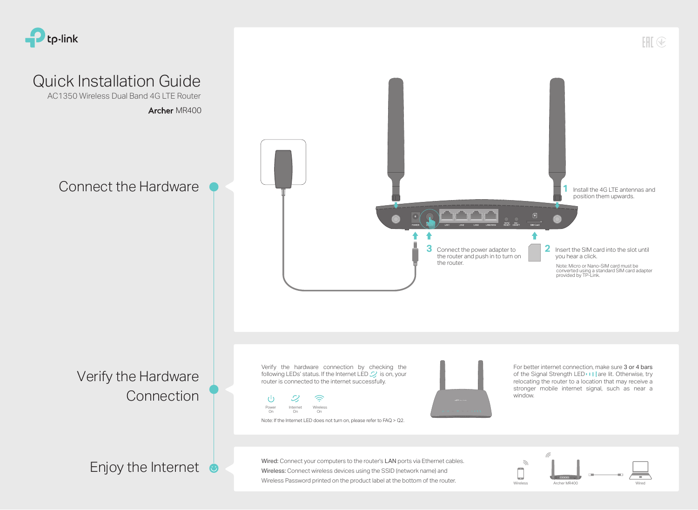### Connect the Hardware

### Verify the Hardware **Connection**

Note: If the Internet LED does not turn on, please refer to FAQ > Q2.





Archer MR400 AC1350 Wireless Dual Band 4G LTE Router

> Wired: Connect your computers to the router's LAN ports via Ethernet cables. Wireless: Connect wireless devices using the SSID (network name) and Wireless Password printed on the product label at the bottom of the router.

Enjoy the Internet  $\bullet$ 

 $H \otimes$ 



Verify the hardware connection by checking the following LEDs' status. If the Internet LED  $\mathcal{L}$  is on, your router is connected to the internet successfully.







# Quick Installation Guide